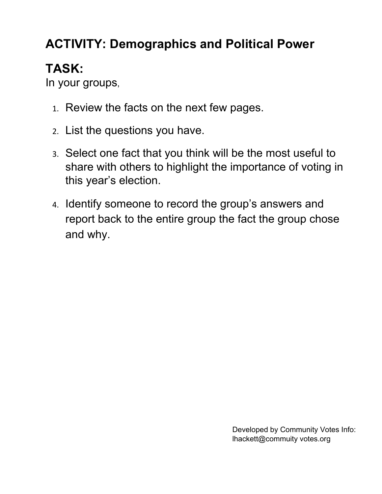## **ACTIVITY: Demographics and Political Power**

# **TASK:**

In your groups,

- 1. Review the facts on the next few pages.
- 2. List the questions you have.
- 3. Select one fact that you think will be the most useful to share with others to highlight the importance of voting in this year's election.
- 4. Identify someone to record the group's answers and report back to the entire group the fact the group chose and why.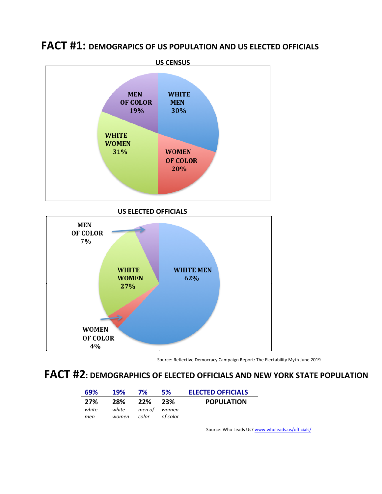

**FACT #1: DEMOGRAPICS OF US POPULATION AND US ELECTED OFFICIALS** 



Source: Reflective Democracy Campaign Report: The Electability Myth June 2019

### **FACT #2**: DEMOGRAPHICS OF ELECTED OFFICIALS AND NEW YORK STATE POPULATION

| 69%   | 19%   | 7%           | <b>5%</b> | <b>ELECTED OFFICIALS</b> |
|-------|-------|--------------|-----------|--------------------------|
| 27%   | 28%   | 22% 23%      |           | <b>POPULATION</b>        |
| white | white | men of women |           |                          |
| men   | women | color        | of color  |                          |

Source: Who Leads Us? www.wholeads.us/officials/